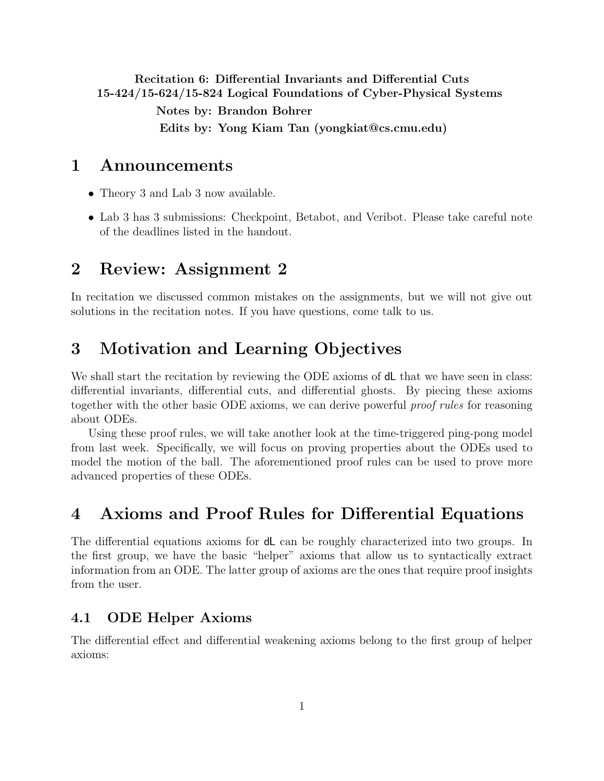<span id="page-0-0"></span>Recitation 6: Differential Invariants and Differential Cuts 15-424/15-624/15-824 Logical Foundations of Cyber-Physical Systems

Notes by: Brandon Bohrer Edits by: Yong Kiam Tan (yongkiat@cs.cmu.edu)

## 1 Announcements

- Theory 3 and Lab 3 now available.
- Lab 3 has 3 submissions: Checkpoint, Betabot, and Veribot. Please take careful note of the deadlines listed in the handout.

## 2 Review: Assignment 2

In recitation we discussed common mistakes on the assignments, but we will not give out solutions in the recitation notes. If you have questions, come talk to us.

# 3 Motivation and Learning Objectives

We shall start the recitation by reviewing the ODE axioms of  $d\mathsf{L}$  that we have seen in class: differential invariants, differential cuts, and differential ghosts. By piecing these axioms together with the other basic ODE axioms, we can derive powerful proof rules for reasoning about ODEs.

Using these proof rules, we will take another look at the time-triggered ping-pong model from last week. Specifically, we will focus on proving properties about the ODEs used to model the motion of the ball. The aforementioned proof rules can be used to prove more advanced properties of these ODEs.

## 4 Axioms and Proof Rules for Differential Equations

The differential equations axioms for dL can be roughly characterized into two groups. In the first group, we have the basic "helper" axioms that allow us to syntactically extract information from an ODE. The latter group of axioms are the ones that require proof insights from the user.

### 4.1 ODE Helper Axioms

The differential effect and differential weakening axioms belong to the first group of helper axioms: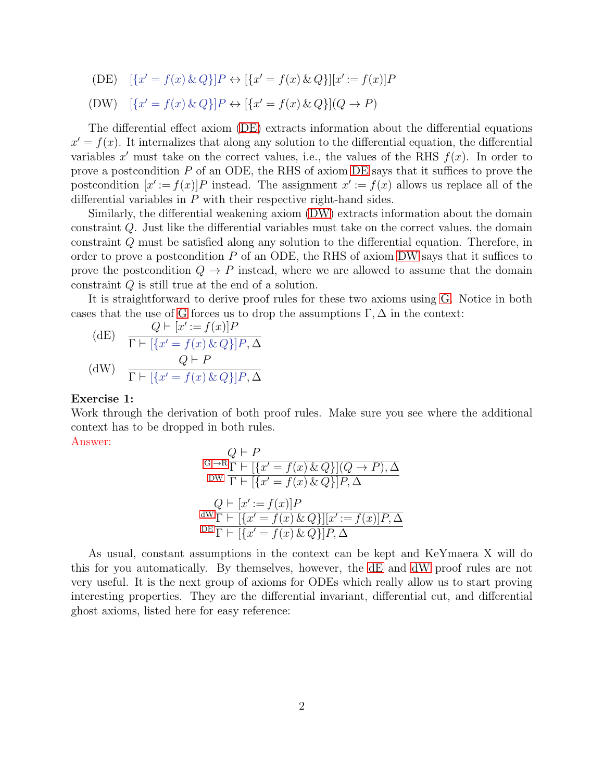(DE)  $\{x' = f(x) \& Q\} | P \leftrightarrow \{x' = f(x) \& Q\} | [x' := f(x)]P$ 

(DW) 
$$
[\{x' = f(x) \& Q\}]P \leftrightarrow [\{x' = f(x) \& Q\}](Q \rightarrow P)
$$

The differential effect axiom [\(DE\)](#page-0-0) extracts information about the differential equations  $x' = f(x)$ . It internalizes that along any solution to the differential equation, the differential variables x' must take on the correct values, i.e., the values of the RHS  $f(x)$ . In order to prove a postcondition  $P$  of an ODE, the RHS of axiom [DE](#page-0-0) says that it suffices to prove the postcondition  $[x' := f(x)]P$  instead. The assignment  $x' := f(x)$  allows us replace all of the differential variables in P with their respective right-hand sides.

Similarly, the differential weakening axiom [\(DW\)](#page-0-0) extracts information about the domain constraint Q. Just like the differential variables must take on the correct values, the domain constraint Q must be satisfied along any solution to the differential equation. Therefore, in order to prove a postcondition  $P$  of an ODE, the RHS of axiom [DW](#page-0-0) says that it suffices to prove the postcondition  $Q \to P$  instead, where we are allowed to assume that the domain constraint Q is still true at the end of a solution.

It is straightforward to derive proof rules for these two axioms using [G.](#page-0-0) Notice in both cases that the use of [G](#page-0-0) forces us to drop the assumptions  $\Gamma, \Delta$  in the context:

<span id="page-1-0"></span>(dE) 
$$
Q \vdash [x' := f(x)]P
$$

$$
\Gamma \vdash [\{x' = f(x) \& Q\}]P, \Delta
$$

$$
Q \vdash P
$$

$$
\Gamma \vdash [\{x' = f(x) \& Q\}]P, \Delta
$$

### Exercise 1:

Work through the derivation of both proof rules. Make sure you see where the additional context has to be dropped in both rules.

Answer:

$$
G, \neg R \frac{Q \vdash P}{\Gamma \vdash [\{x' = f(x) \& Q\}](Q \to P), \Delta}
$$
  
\nDW 
$$
\frac{\Gamma \vdash [\{x' = f(x) \& Q\}]P, \Delta}{\Gamma \vdash [\{x' = f(x) \& Q\}]P, \Delta}
$$
  
\n
$$
dW \frac{\Gamma \vdash [\{x' = f(x) \& Q\}][x' := f(x)]P, \Delta}{\text{DE} \Gamma \vdash [\{x' = f(x) \& Q\}]P, \Delta}
$$

As usual, constant assumptions in the context can be kept and KeYmaera X will do this for you automatically. By themselves, however, the [dE](#page-1-0) and [dW](#page-0-0) proof rules are not very useful. It is the next group of axioms for ODEs which really allow us to start proving interesting properties. They are the differential invariant, differential cut, and differential ghost axioms, listed here for easy reference: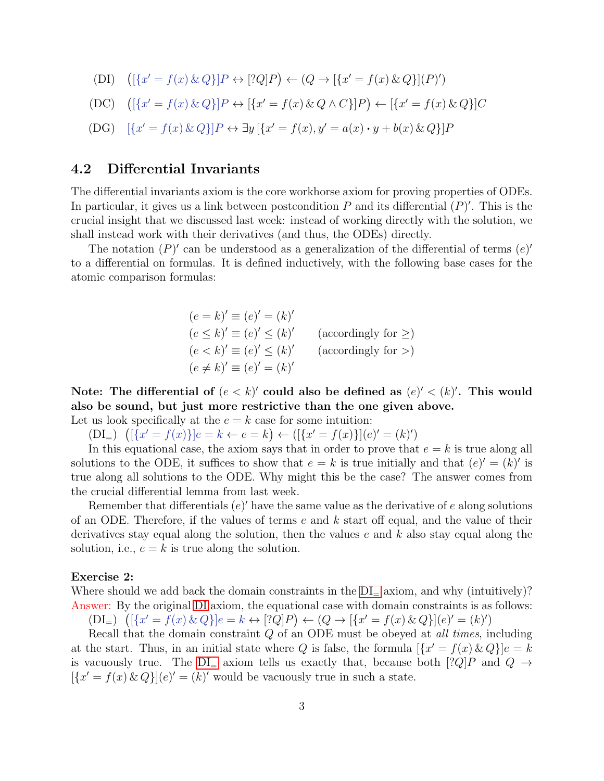$$
(DI) \quad ([\{x' = f(x) \& Q\}]P \leftrightarrow [?Q]P) \leftarrow (Q \rightarrow [\{x' = f(x) \& Q\}] (P)')
$$

$$
(DC) \quad \left( [\{x' = f(x) \& Q\}] P \leftrightarrow [\{x' = f(x) \& Q \land C\}] P \right) \leftarrow [\{x' = f(x) \& Q\}] C
$$

$$
(DG) \quad [\{x' = f(x) \& Q\}]P \leftrightarrow \exists y \left[\{x' = f(x), y' = a(x) \cdot y + b(x) \& Q\}\right]P
$$

### 4.2 Differential Invariants

The differential invariants axiom is the core workhorse axiom for proving properties of ODEs. In particular, it gives us a link between postcondition  $P$  and its differential  $(P)'$ . This is the crucial insight that we discussed last week: instead of working directly with the solution, we shall instead work with their derivatives (and thus, the ODEs) directly.

The notation  $(P)'$  can be understood as a generalization of the differential of terms  $(e)'$ to a differential on formulas. It is defined inductively, with the following base cases for the atomic comparison formulas:

> $(e = k)' \equiv (e)' = (k)'$  $(e \leq k)' \equiv (e)' \leq (k)'$ (accordingly for  $\geq$ )  $(e < k)' \equiv (e)' \leq (k)'$ (accordingly for  $>$ )  $(e \neq k)' \equiv (e)' = (k)'$

Note: The differential of  $(e < k)'$  could also be defined as  $(e)' < (k)'$ . This would also be sound, but just more restrictive than the one given above.

<span id="page-2-0"></span>Let us look specifically at the  $e = k$  case for some intuition:

 $(DI_{=} ) \quad ([\{x' = f(x)\}]e = k \leftarrow e = k) \leftarrow ([\{x' = f(x)\}]e' = (k)')$ 

In this equational case, the axiom says that in order to prove that  $e = k$  is true along all solutions to the ODE, it suffices to show that  $e = k$  is true initially and that  $(e)' = (k)'$  is true along all solutions to the ODE. Why might this be the case? The answer comes from the crucial differential lemma from last week.

Remember that differentials  $(e)'$  have the same value as the derivative of e along solutions of an ODE. Therefore, if the values of terms  $e$  and  $k$  start off equal, and the value of their derivatives stay equal along the solution, then the values  $e$  and  $k$  also stay equal along the solution, i.e.,  $e = k$  is true along the solution.

#### Exercise 2:

Where should we add back the domain constraints in the  $DI_{=}$  axiom, and why (intuitively)? Answer: By the original [DI](#page-0-0) axiom, the equational case with domain constraints is as follows:

<span id="page-2-1"></span> $(DI_{=} ) \left( [\{x' = f(x) \& Q\}]e = k \leftrightarrow [?Q]P \right) \leftarrow (Q \rightarrow [\{x' = f(x) \& Q\}] (e)' = (k)')$ 

Recall that the domain constraint  $Q$  of an ODE must be obeyed at *all times*, including at the start. Thus, in an initial state where Q is false, the formula  $[\{x' = f(x) \& Q\}]e = k$ is vacuously true. The  $DI_{=}$  axiom tells us exactly that, because both  $[?Q]P$  and  $Q \rightarrow$  $[\{x' = f(x) \& Q\}](e)' = (k)'$  would be vacuously true in such a state.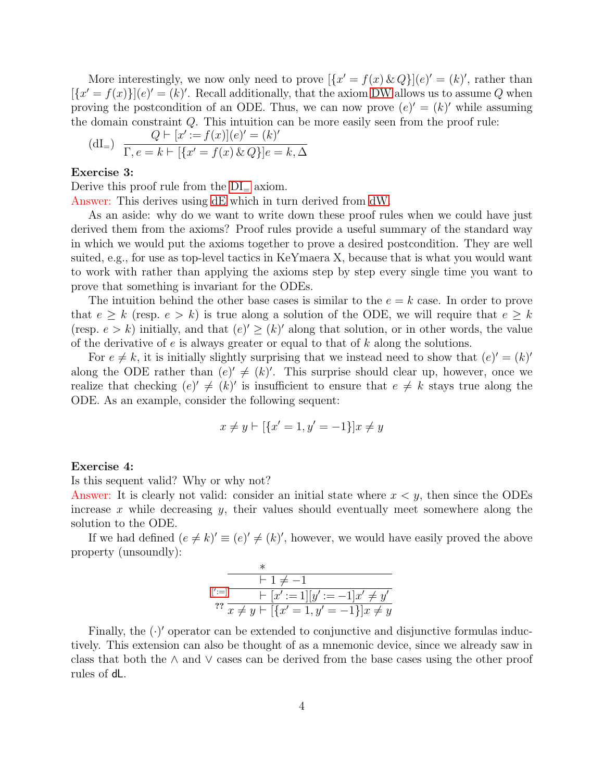More interestingly, we now only need to prove  $\left[\left\{x' = f(x) \& Q\right\}\right](e)' = (k)'$ , rather than  $[\{x' = f(x)\}](e)' = (k)'.$  Recall additionally, that the axiom [DW](#page-0-0) allows us to assume Q when proving the postcondition of an ODE. Thus, we can now prove  $(e)' = (k)'$  while assuming the domain constraint Q. This intuition can be more easily seen from the proof rule:

<span id="page-3-0"></span>(dI<sub>=</sub>) 
$$
Q \vdash [x' := f(x)](e)' = (k)'
$$
  
\n $\Gamma, e = k \vdash [\{x' = f(x) \& Q\}]e = k, \Delta$ 

### Exercise 3:

Derive this proof rule from the  $DI = axiom$ .

Answer: This derives using [dE](#page-1-0) which in turn derived from [dW.](#page-0-0)

As an aside: why do we want to write down these proof rules when we could have just derived them from the axioms? Proof rules provide a useful summary of the standard way in which we would put the axioms together to prove a desired postcondition. They are well suited, e.g., for use as top-level tactics in KeYmaera X, because that is what you would want to work with rather than applying the axioms step by step every single time you want to prove that something is invariant for the ODEs.

The intuition behind the other base cases is similar to the  $e = k$  case. In order to prove that  $e \geq k$  (resp.  $e > k$ ) is true along a solution of the ODE, we will require that  $e \geq k$ (resp.  $e > k$ ) initially, and that  $(e)' \geq (k)'$  along that solution, or in other words, the value of the derivative of  $e$  is always greater or equal to that of  $k$  along the solutions.

For  $e \neq k$ , it is initially slightly surprising that we instead need to show that  $(e)' = (k)'$ along the ODE rather than  $(e)' \neq (k)'$ . This surprise should clear up, however, once we realize that checking  $(e)'\neq (k)'$  is insufficient to ensure that  $e\neq k$  stays true along the ODE. As an example, consider the following sequent:

$$
x \neq y \vdash [\{x' = 1, y' = -1\}]x \neq y
$$

### Exercise 4:

Is this sequent valid? Why or why not?

Answer: It is clearly not valid: consider an initial state where  $x < y$ , then since the ODEs increase  $x$  while decreasing  $y$ , their values should eventually meet somewhere along the solution to the ODE.

If we had defined  $(e \neq k)' \equiv (e)' \neq (k)'$ , however, we would have easily proved the above property (unsoundly):

$$
\begin{array}{c}\n* \\
\hline\n+1 \neq -1 \\
\hline\nr:=-1]x' \neq y' \\
\hline\nr: \overline{x \neq y \vdash [\{x'=1, y'=-1\}]x \neq y'}\n\end{array}
$$

Finally, the  $(\cdot)'$  operator can be extended to conjunctive and disjunctive formulas inductively. This extension can also be thought of as a mnemonic device, since we already saw in class that both the ∧ and ∨ cases can be derived from the base cases using the other proof rules of dL.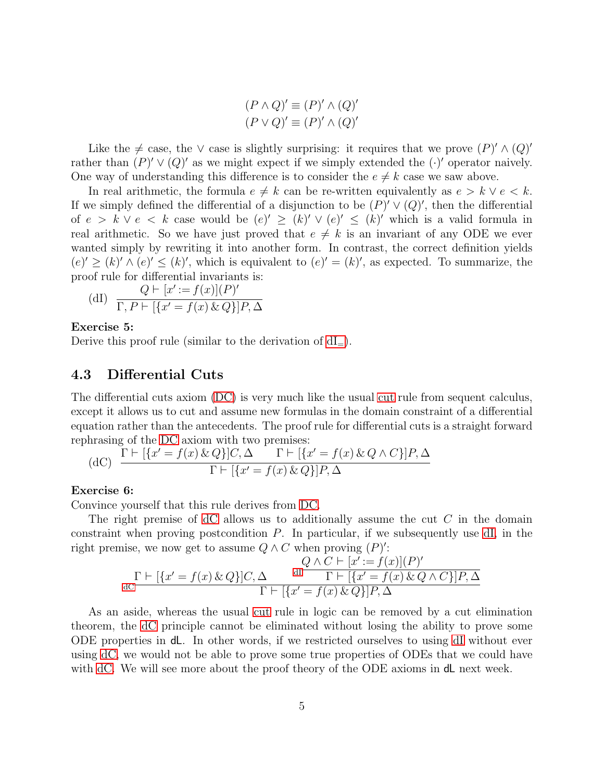$(P \wedge Q)' \equiv (P)' \wedge (Q)'$  $(P \vee Q)' \equiv (P)' \wedge (Q)'$ 

Like the  $\neq$  case, the ∨ case is slightly surprising: it requires that we prove  $(P)' \wedge (Q)'$ rather than  $(P)' \vee (Q)'$  as we might expect if we simply extended the  $(\cdot)'$  operator naively. One way of understanding this difference is to consider the  $e \neq k$  case we saw above.

In real arithmetic, the formula  $e \neq k$  can be re-written equivalently as  $e > k \vee e < k$ . If we simply defined the differential of a disjunction to be  $(P)' \vee (Q)'$ , then the differential of  $e > k \vee e < k$  case would be  $(e)' \geq (k)' \vee (e)' \leq (k)'$  which is a valid formula in real arithmetic. So we have just proved that  $e \neq k$  is an invariant of any ODE we ever wanted simply by rewriting it into another form. In contrast, the correct definition yields  $(e)' \ge (k)' \wedge (e)' \le (k)'$ , which is equivalent to  $(e)' = (k)'$ , as expected. To summarize, the proof rule for differential invariants is:

(dI) 
$$
\frac{Q \vdash [x' := f(x)](P)'}{\Gamma, P \vdash [\{x' = f(x) \& Q\}]P, \Delta}
$$

### Exercise 5:

Derive this proof rule (similar to the derivation of  $dI_{=}$ ).

### 4.3 Differential Cuts

The differential cuts axiom [\(DC\)](#page-0-0) is very much like the usual [cut](#page-0-0) rule from sequent calculus, except it allows us to cut and assume new formulas in the domain constraint of a differential equation rather than the antecedents. The proof rule for differential cuts is a straight forward rephrasing of the [DC](#page-0-0) axiom with two premises:

(dC) 
$$
\frac{\Gamma \vdash [\{x' = f(x) \& Q\}]C, \Delta \qquad \Gamma \vdash [\{x' = f(x) \& Q \land C\}]P, \Delta}{\Gamma \vdash [\{x' = f(x) \& Q\}]P, \Delta}
$$

### Exercise 6:

Convince yourself that this rule derives from [DC.](#page-0-0)

The right premise of  $dC$  allows us to additionally assume the cut  $C$  in the domain constraint when proving postcondition P. In particular, if we subsequently use [dI,](#page-0-0) in the right premise, we now get to assume  $Q \wedge C$  when proving  $(P)'$ :

$$
\Pr_{\mathbf{dC}}[r\mapsto [\{x'=f(x)\,\&\,Q\}]C,\Delta \qquad \frac{d\mathcal{D}\wedge C\vdash [x':=f(x)](P)'}{\Gamma\vdash [\{x'=f(x)\,\&\,Q\wedge C\}]P,\Delta}
$$

As an aside, whereas the usual [cut](#page-0-0) rule in logic can be removed by a cut elimination theorem, the [dC](#page-0-0) principle cannot be eliminated without losing the ability to prove some ODE properties in dL. In other words, if we restricted ourselves to using [dI](#page-0-0) without ever using [dC,](#page-0-0) we would not be able to prove some true properties of ODEs that we could have with [dC.](#page-0-0) We will see more about the proof theory of the ODE axioms in **d** next week.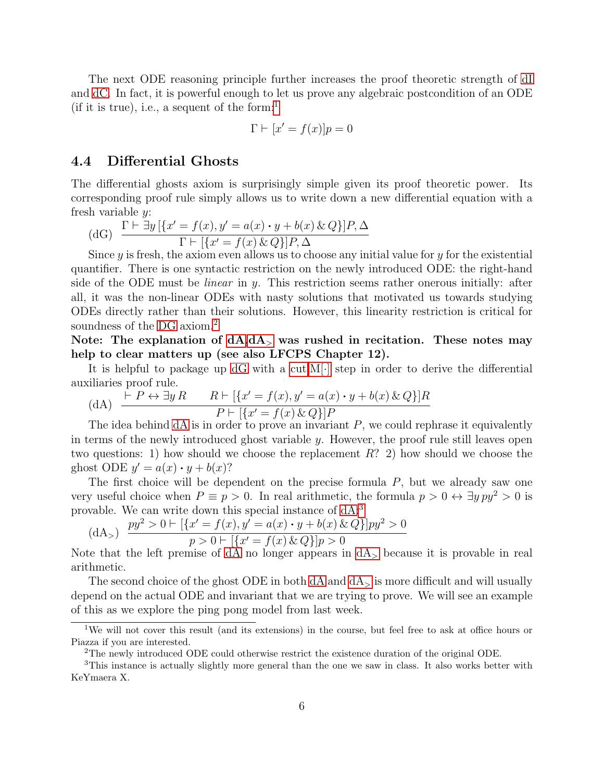The next ODE reasoning principle further increases the proof theoretic strength of [dI](#page-0-0) and [dC.](#page-0-0) In fact, it is powerful enough to let us prove any algebraic postcondition of an ODE (if it is true), i.e., a sequent of the form:

$$
\Gamma \vdash [x' = f(x)]p = 0
$$

### 4.4 Differential Ghosts

The differential ghosts axiom is surprisingly simple given its proof theoretic power. Its corresponding proof rule simply allows us to write down a new differential equation with a fresh variable  $y$ :

(dG) 
$$
\frac{\Gamma \vdash \exists y \left[ \{x' = f(x), y' = a(x) \cdot y + b(x) \& Q \} \right] P, \Delta}{\Gamma \vdash \left[ \{x' = f(x) \& Q \} \right] P, \Delta}
$$

Since y is fresh, the axiom even allows us to choose any initial value for y for the existential quantifier. There is one syntactic restriction on the newly introduced ODE: the right-hand side of the ODE must be *linear* in  $\psi$ . This restriction seems rather onerous initially: after all, it was the non-linear ODEs with nasty solutions that motivated us towards studying ODEs directly rather than their solutions. However, this linearity restriction is critical for soundness of the [DG](#page-0-0) axiom.<sup>[2](#page-5-1)</sup>

Note: The explanation of  $dA, dA$  $dA, dA$ , was rushed in recitation. These notes may help to clear matters up (see also LFCPS Chapter 12).

It is helpful to package up  $dG$  with a cut, M[ $\cdot$ ] step in order to derive the differential auxiliaries proof rule.

(dA) 
$$
\frac{\vdash P \leftrightarrow \exists y \, R \qquad R \vdash [\{x' = f(x), y' = a(x) \cdot y + b(x) \& Q\}]R}{P \vdash [\{x' = f(x) \& Q\}]P}
$$

The idea behind  $dA$  is in order to prove an invariant  $P$ , we could rephrase it equivalently in terms of the newly introduced ghost variable  $y$ . However, the proof rule still leaves open two questions: 1) how should we choose the replacement R? 2) how should we choose the ghost ODE  $y' = a(x) \cdot y + b(x)$ ?

The first choice will be dependent on the precise formula P, but we already saw one very useful choice when  $P \equiv p > 0$ . In real arithmetic, the formula  $p > 0 \leftrightarrow \exists y \, py^2 > 0$  is provable. We can write down this special instance of [dA:](#page-0-0)[3](#page-5-3)

<span id="page-5-2"></span>(dA<sub>></sub>) 
$$
\frac{py^2 > 0 \vdash [\{x' = f(x), y' = a(x) \cdot y + b(x) \& Q\}]py^2 > 0}{p > 0 \vdash [\{x' = f(x) \& Q\}]p > 0}
$$

Note that the left premise of [dA](#page-5-2) no longer appears in  $dA_{>}$  because it is provable in real arithmetic.

The second choice of the ghost ODE in both  $dA$  and  $dA$  is more difficult and will usually depend on the actual ODE and invariant that we are trying to prove. We will see an example of this as we explore the ping pong model from last week.

<span id="page-5-0"></span><sup>&</sup>lt;sup>1</sup>We will not cover this result (and its extensions) in the course, but feel free to ask at office hours or Piazza if you are interested.

<span id="page-5-3"></span><span id="page-5-1"></span><sup>&</sup>lt;sup>2</sup>The newly introduced ODE could otherwise restrict the existence duration of the original ODE.

<sup>3</sup>This instance is actually slightly more general than the one we saw in class. It also works better with KeYmaera X.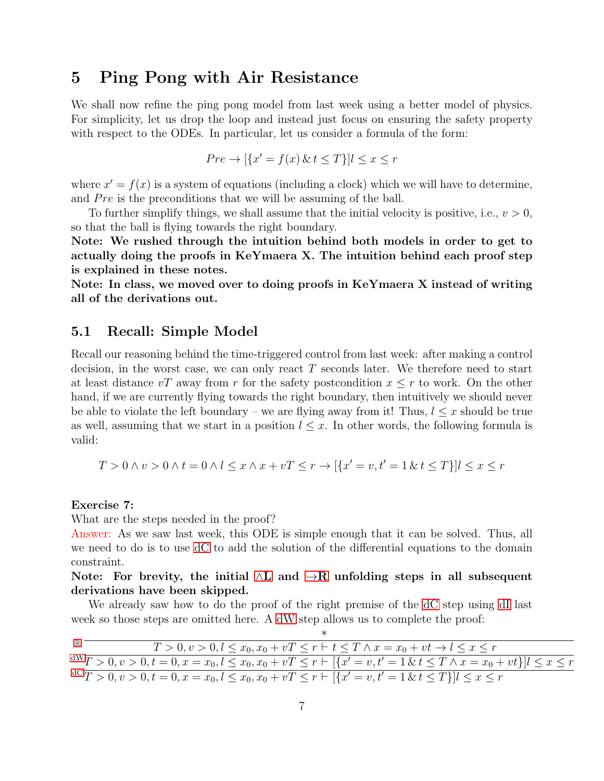## 5 Ping Pong with Air Resistance

We shall now refine the ping pong model from last week using a better model of physics. For simplicity, let us drop the loop and instead just focus on ensuring the safety property with respect to the ODEs. In particular, let us consider a formula of the form:

$$
Pre \to [\{x' = f(x) \& t \le T\}] l \le x \le r
$$

where  $x' = f(x)$  is a system of equations (including a clock) which we will have to determine, and  $Pre$  is the preconditions that we will be assuming of the ball.

To further simplify things, we shall assume that the initial velocity is positive, i.e.,  $v > 0$ , so that the ball is flying towards the right boundary.

Note: We rushed through the intuition behind both models in order to get to actually doing the proofs in KeYmaera X. The intuition behind each proof step is explained in these notes.

Note: In class, we moved over to doing proofs in KeYmaera X instead of writing all of the derivations out.

### 5.1 Recall: Simple Model

Recall our reasoning behind the time-triggered control from last week: after making a control decision, in the worst case, we can only react T seconds later. We therefore need to start at least distance vT away from r for the safety postcondition  $x \leq r$  to work. On the other hand, if we are currently flying towards the right boundary, then intuitively we should never be able to violate the left boundary – we are flying away from it! Thus,  $l \leq x$  should be true as well, assuming that we start in a position  $l \leq x$ . In other words, the following formula is valid:

$$
T > 0 \land v > 0 \land t = 0 \land l \leq x \land x + vT \leq r \to \{ \{ x' = v, t' = 1 \& t \leq T \} \} \cup \{ x \leq r
$$

### Exercise 7:

What are the steps needed in the proof?

Answer: As we saw last week, this ODE is simple enough that it can be solved. Thus, all we need to do is to use [dC](#page-0-0) to add the solution of the differential equations to the domain constraint.

Note: For brevity, the initial  $\wedge$ [L](#page-0-0) and  $\rightarrow$ R unfolding steps in all subsequent derivations have been skipped.

We already saw how to do the proof of the right premise of the [dC](#page-0-0) step using [dI](#page-0-0) last week so those steps are omitted here. A [dW](#page-0-0) step allows us to complete the proof:

| $T>0, v>0, l \leq x_0, x_0+vT \leq r \vdash t \leq T \wedge x=x_0+vt \rightarrow l \leq x \leq r$                             |
|-------------------------------------------------------------------------------------------------------------------------------|
| $\frac{dW}{T>0, v>0, t=0, x=x_0, l \leq x_0, x_0+vT \leq r \vdash [\{x'=v, t'=1 \& t \leq T \land x=x_0+vt\}]l \leq x \leq r$ |
| ${}^{dC}T > 0, v > 0, t = 0, x = x_0, l \le x_0, x_0 + vT \le r \vdash [{x' = v, t' = 1 \& t \le T}]l \le x \le r$            |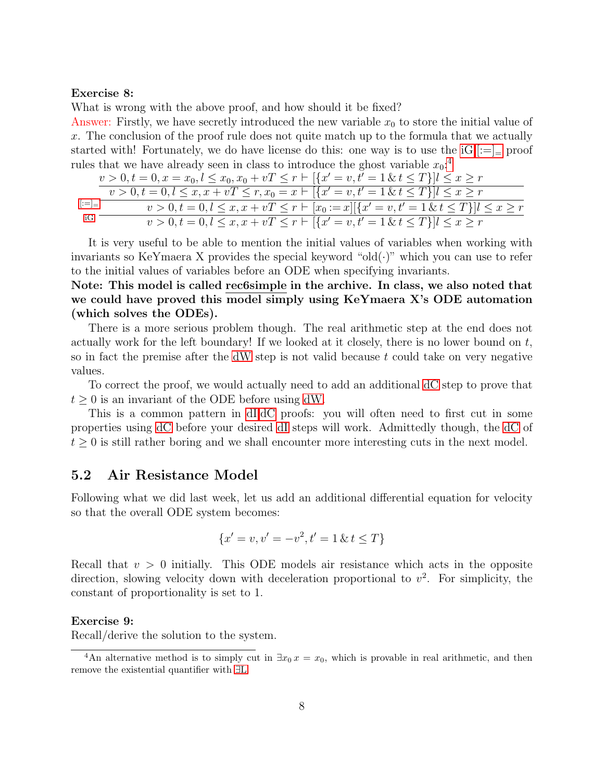#### Exercise 8:

What is wrong with the above proof, and how should it be fixed?

<span id="page-7-0"></span>Answer: Firstly, we have secretly introduced the new variable  $x_0$  to store the initial value of x. The conclusion of the proof rule does not quite match up to the formula that we actually started with! Fortunately, we do have license do this: one way is to use the  $iG,|:=|$  proof rules that we have already seen in class to introduce the ghost variable  $x_0$ <sup>[4](#page-7-1)</sup>

|                               | $v > 0, t = 0, x = x_0, l \le x_0, x_0 + vT \le r$ $\vdash \lbrack \{x' = v, t' = 1 \& t \le T\} \rbrack l \le x \ge r$ |
|-------------------------------|-------------------------------------------------------------------------------------------------------------------------|
|                               | $v > 0, t = 0, l \leq x, x + vT \leq r, x_0 = x \vdash [\{x' = v, t' = 1 \& t \leq T\}] l \leq x \geq r$                |
| $\left\vert z=\right\vert =1$ | $v > 0, t = 0, l \leq x, x + vT \leq r \vdash [x_0 := x][\{x' = v, t' = 1 \& t \leq T\}]$                               |
| iG                            | $v > 0, t = 0, l \leq x, x + vT \leq r \vdash \left[ \{x' = v, t' = 1 \& t \leq T\} \right] l \leq x \geq r$            |

It is very useful to be able to mention the initial values of variables when working with invariants so KeYmaera X provides the special keyword "old $(\cdot)$ " which you can use to refer to the initial values of variables before an ODE when specifying invariants.

Note: This model is called rec6simple in the archive. In class, we also noted that we could have proved this model simply using KeYmaera X's ODE automation (which solves the ODEs).

There is a more serious problem though. The real arithmetic step at the end does not actually work for the left boundary! If we looked at it closely, there is no lower bound on  $t$ , so in fact the premise after the [dW](#page-0-0) step is not valid because  $t$  could take on very negative values.

To correct the proof, we would actually need to add an additional [dC](#page-0-0) step to prove that  $t \geq 0$  is an invariant of the ODE before using [dW.](#page-0-0)

This is a common pattern in [dI,dC](#page-0-0) proofs: you will often need to first cut in some properties using [dC](#page-0-0) before your desired [dI](#page-0-0) steps will work. Admittedly though, the [dC](#page-0-0) of  $t \geq 0$  is still rather boring and we shall encounter more interesting cuts in the next model.

### 5.2 Air Resistance Model

Following what we did last week, let us add an additional differential equation for velocity so that the overall ODE system becomes:

$$
\{x' = v, v' = -v^2, t' = 1 \& t \le T\}
$$

Recall that  $v > 0$  initially. This ODE models air resistance which acts in the opposite direction, slowing velocity down with deceleration proportional to  $v^2$ . For simplicity, the constant of proportionality is set to 1.

#### Exercise 9:

Recall/derive the solution to the system.

<span id="page-7-1"></span><sup>&</sup>lt;sup>4</sup>An alternative method is to simply cut in  $\exists x_0 x = x_0$ , which is provable in real arithmetic, and then remove the existential quantifier with ∃[L.](#page-0-0)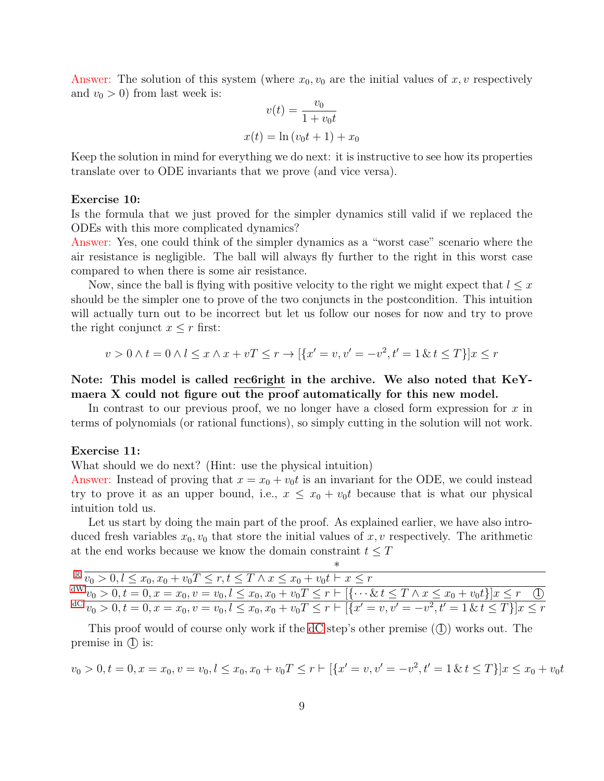Answer: The solution of this system (where  $x_0, v_0$  are the initial values of x, v respectively and  $v_0 > 0$ ) from last week is:

$$
v(t) = \frac{v_0}{1 + v_0 t}
$$

$$
x(t) = \ln(v_0 t + 1) + x_0
$$

Keep the solution in mind for everything we do next: it is instructive to see how its properties translate over to ODE invariants that we prove (and vice versa).

#### Exercise 10:

Is the formula that we just proved for the simpler dynamics still valid if we replaced the ODEs with this more complicated dynamics?

Answer: Yes, one could think of the simpler dynamics as a "worst case" scenario where the air resistance is negligible. The ball will always fly further to the right in this worst case compared to when there is some air resistance.

Now, since the ball is flying with positive velocity to the right we might expect that  $l \leq x$ should be the simpler one to prove of the two conjuncts in the postcondition. This intuition will actually turn out to be incorrect but let us follow our noses for now and try to prove the right conjunct  $x \leq r$  first:

$$
v > 0 \land t = 0 \land l \le x \land x + vT \le r \to [\{x' = v, v' = -v^2, t' = 1 \& t \le T\}]x \le r
$$

Note: This model is called rec6right in the archive. We also noted that KeYmaera X could not figure out the proof automatically for this new model.

In contrast to our previous proof, we no longer have a closed form expression for  $x$  in terms of polynomials (or rational functions), so simply cutting in the solution will not work.

#### Exercise 11:

What should we do next? (Hint: use the physical intuition)

Answer: Instead of proving that  $x = x_0 + v_0t$  is an invariant for the ODE, we could instead try to prove it as an upper bound, i.e.,  $x \leq x_0 + v_0 t$  because that is what our physical intuition told us.

Let us start by doing the main part of the proof. As explained earlier, we have also introduced fresh variables  $x_0, v_0$  that store the initial values of x, v respectively. The arithmetic at the end works because we know the domain constraint  $t \leq T$ 

| $\mathbb{R} \overline{v_0 > 0, l \leq x_0, x_0 + v_0} \leq r, t \leq T \wedge x \leq x_0 + v_0 t \vdash x \leq r$                                      |  |
|--------------------------------------------------------------------------------------------------------------------------------------------------------|--|
| $\{dW_{v_0} > 0, t = 0, x = x_0, v = v_0, l \le x_0, x_0 + v_0 T \le r \vdash [\{\cdots \& t \le T \land x \le x_0 + v_0 t\}]x \le r \quad \text{(1)}$ |  |
| ${}^{dC} \overline{v_0} > 0, t = 0, x = x_0, v = v_0, l \le x_0, x_0 + v_0 T \le r \vdash [\{x' = v, v' = -v^2, t' = 1 \& t \le T\}]x \le r$           |  |

This proof would of course only work if the  $dC$  step's other premise  $(\mathcal{I})$  works out. The premise in  $(1)$  is:

$$
v_0 > 0, t = 0, x = x_0, v = v_0, l \le x_0, x_0 + v_0 T \le r \vdash [\{x' = v, v' = -v^2, t' = 1 \& t \le T\}]x \le x_0 + v_0 t
$$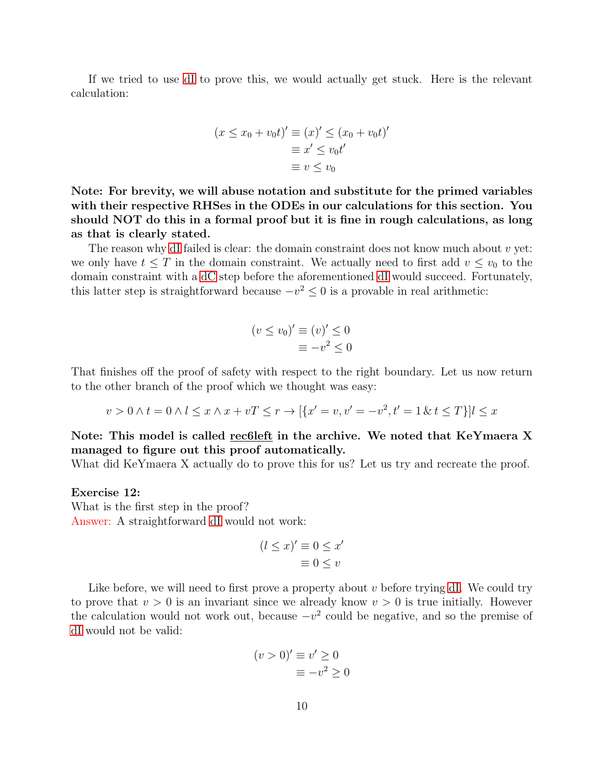If we tried to use [dI](#page-0-0) to prove this, we would actually get stuck. Here is the relevant calculation:

$$
(x \le x_0 + v_0 t)' \equiv (x)' \le (x_0 + v_0 t)'
$$

$$
\equiv x' \le v_0 t'
$$

$$
\equiv v \le v_0
$$

Note: For brevity, we will abuse notation and substitute for the primed variables with their respective RHSes in the ODEs in our calculations for this section. You should NOT do this in a formal proof but it is fine in rough calculations, as long as that is clearly stated.

The reason why [dI](#page-0-0) failed is clear: the domain constraint does not know much about  $v$  yet: we only have  $t \leq T$  in the domain constraint. We actually need to first add  $v \leq v_0$  to the domain constraint with a [dC](#page-0-0) step before the aforementioned [dI](#page-0-0) would succeed. Fortunately, this latter step is straightforward because  $-v^2 \leq 0$  is a provable in real arithmetic:

$$
(v \le v_0)' \equiv (v)' \le 0
$$
  

$$
\equiv -v^2 \le 0
$$

That finishes off the proof of safety with respect to the right boundary. Let us now return to the other branch of the proof which we thought was easy:

$$
v > 0 \land t = 0 \land l \leq x \land x + vT \leq r \to [\{x' = v, v' = -v^2, t' = 1 \& t \leq T\}] l \leq x
$$

### Note: This model is called rec6left in the archive. We noted that KeYmaera X managed to figure out this proof automatically.

What did KeYmaera X actually do to prove this for us? Let us try and recreate the proof.

### Exercise 12:

What is the first step in the proof? Answer: A straightforward [dI](#page-0-0) would not work:

$$
(l \le x)' \equiv 0 \le x'
$$
  

$$
\equiv 0 \le v
$$

Like before, we will need to first prove a property about  $v$  before trying [dI.](#page-0-0) We could try to prove that  $v > 0$  is an invariant since we already know  $v > 0$  is true initially. However the calculation would not work out, because  $-v^2$  could be negative, and so the premise of [dI](#page-0-0) would not be valid:

$$
(v > 0)' \equiv v' \ge 0
$$
  

$$
\equiv -v^2 \ge 0
$$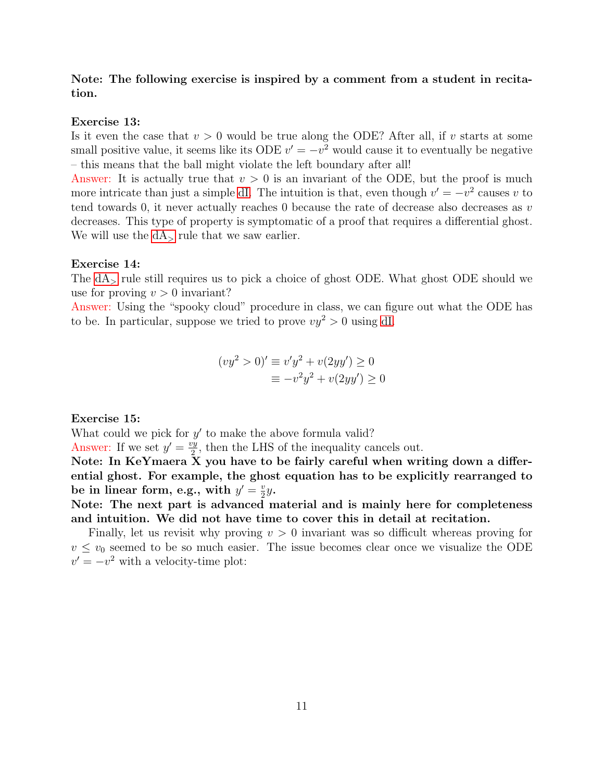### Note: The following exercise is inspired by a comment from a student in recitation.

### Exercise 13:

Is it even the case that  $v > 0$  would be true along the ODE? After all, if v starts at some small positive value, it seems like its ODE  $v' = -v^2$  would cause it to eventually be negative – this means that the ball might violate the left boundary after all!

Answer: It is actually true that  $v > 0$  is an invariant of the ODE, but the proof is much more intricate than just a simple [dI.](#page-0-0) The intuition is that, even though  $v' = -v^2$  causes v to tend towards 0, it never actually reaches 0 because the rate of decrease also decreases as v decreases. This type of property is symptomatic of a proof that requires a differential ghost. We will use the  $dA$ , rule that we saw earlier.

#### Exercise 14:

The  $dA<sub>></sub>$  rule still requires us to pick a choice of ghost ODE. What ghost ODE should we use for proving  $v > 0$  invariant?

Answer: Using the "spooky cloud" procedure in class, we can figure out what the ODE has to be. In particular, suppose we tried to prove  $vy^2 > 0$  using [dI.](#page-0-0)

$$
(vy2 > 0)' \equiv v'y2 + v(2yy') \ge 0
$$
  

$$
\equiv -v2y2 + v(2yy') \ge 0
$$

### Exercise 15:

What could we pick for  $y'$  to make the above formula valid?

Answer: If we set  $y' = \frac{vy}{2}$  $\frac{2y}{2}$ , then the LHS of the inequality cancels out.

Note: In KeYmaera X you have to be fairly careful when writing down a differential ghost. For example, the ghost equation has to be explicitly rearranged to be in linear form, e.g., with  $y' = \frac{v}{2}$  $rac{v}{2}y$ .

Note: The next part is advanced material and is mainly here for completeness and intuition. We did not have time to cover this in detail at recitation.

Finally, let us revisit why proving  $v > 0$  invariant was so difficult whereas proving for  $v \leq v_0$  seemed to be so much easier. The issue becomes clear once we visualize the ODE  $v' = -v^2$  with a velocity-time plot: